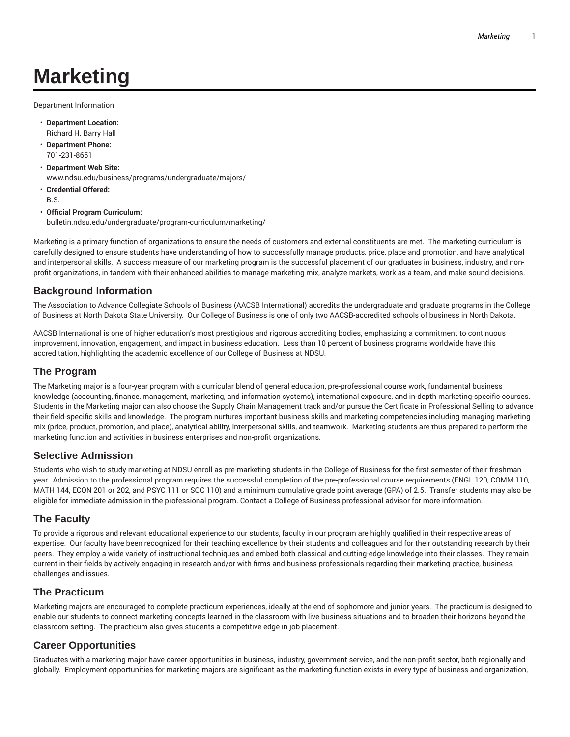# **Marketing**

Department Information

- **Department Location:** Richard H. Barry Hall
- **Department Phone:** 701-231-8651
- **Department Web Site:** www.ndsu.edu/business/programs/undergraduate/majors/
- **Credential Offered:** B.S.
- **Official Program Curriculum:** bulletin.ndsu.edu/undergraduate/program-curriculum/marketing/

Marketing is a primary function of organizations to ensure the needs of customers and external constituents are met. The marketing curriculum is carefully designed to ensure students have understanding of how to successfully manage products, price, place and promotion, and have analytical and interpersonal skills. A success measure of our marketing program is the successful placement of our graduates in business, industry, and nonprofit organizations, in tandem with their enhanced abilities to manage marketing mix, analyze markets, work as a team, and make sound decisions.

## **Background Information**

The Association to Advance Collegiate Schools of Business (AACSB International) accredits the undergraduate and graduate programs in the College of Business at North Dakota State University. Our College of Business is one of only two AACSB-accredited schools of business in North Dakota.

AACSB International is one of higher education's most prestigious and rigorous accrediting bodies, emphasizing a commitment to continuous improvement, innovation, engagement, and impact in business education. Less than 10 percent of business programs worldwide have this accreditation, highlighting the academic excellence of our College of Business at NDSU.

#### **The Program**

The Marketing major is a four-year program with a curricular blend of general education, pre-professional course work, fundamental business knowledge (accounting, finance, management, marketing, and information systems), international exposure, and in-depth marketing-specific courses. Students in the Marketing major can also choose the Supply Chain Management track and/or pursue the Certificate in Professional Selling to advance their field-specific skills and knowledge. The program nurtures important business skills and marketing competencies including managing marketing mix (price, product, promotion, and place), analytical ability, interpersonal skills, and teamwork. Marketing students are thus prepared to perform the marketing function and activities in business enterprises and non-profit organizations.

#### **Selective Admission**

Students who wish to study marketing at NDSU enroll as pre-marketing students in the College of Business for the first semester of their freshman year. Admission to the professional program requires the successful completion of the pre-professional course requirements (ENGL 120, COMM 110, MATH 144, ECON 201 or 202, and PSYC 111 or SOC 110) and a minimum cumulative grade point average (GPA) of 2.5. Transfer students may also be eligible for immediate admission in the professional program. Contact a College of Business professional advisor for more information.

#### **The Faculty**

To provide a rigorous and relevant educational experience to our students, faculty in our program are highly qualified in their respective areas of expertise. Our faculty have been recognized for their teaching excellence by their students and colleagues and for their outstanding research by their peers. They employ a wide variety of instructional techniques and embed both classical and cutting-edge knowledge into their classes. They remain current in their fields by actively engaging in research and/or with firms and business professionals regarding their marketing practice, business challenges and issues.

#### **The Practicum**

Marketing majors are encouraged to complete practicum experiences, ideally at the end of sophomore and junior years. The practicum is designed to enable our students to connect marketing concepts learned in the classroom with live business situations and to broaden their horizons beyond the classroom setting. The practicum also gives students a competitive edge in job placement.

#### **Career Opportunities**

Graduates with a marketing major have career opportunities in business, industry, government service, and the non-profit sector, both regionally and globally. Employment opportunities for marketing majors are significant as the marketing function exists in every type of business and organization,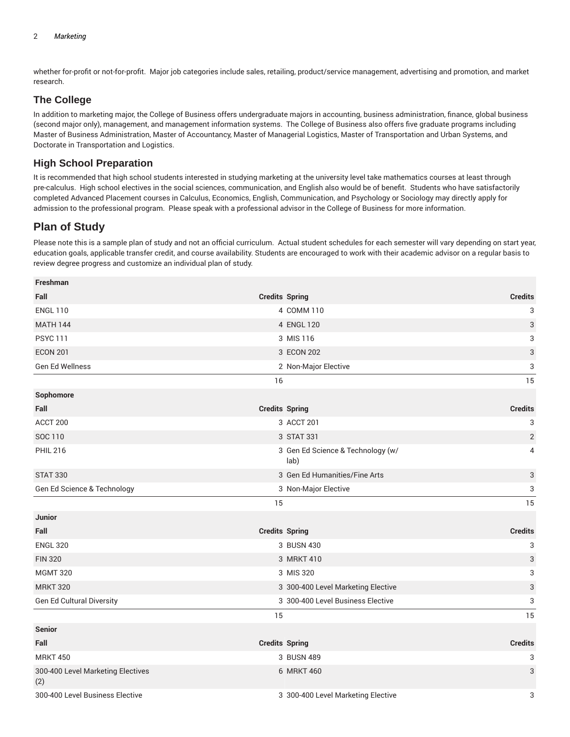whether for-profit or not-for-profit. Major job categories include sales, retailing, product/service management, advertising and promotion, and market research.

# **The College**

In addition to marketing major, the College of Business offers undergraduate majors in accounting, business administration, finance, global business (second major only), management, and management information systems. The College of Business also offers five graduate programs including Master of Business Administration, Master of Accountancy, Master of Managerial Logistics, Master of Transportation and Urban Systems, and Doctorate in Transportation and Logistics.

## **High School Preparation**

It is recommended that high school students interested in studying marketing at the university level take mathematics courses at least through pre-calculus. High school electives in the social sciences, communication, and English also would be of benefit. Students who have satisfactorily completed Advanced Placement courses in Calculus, Economics, English, Communication, and Psychology or Sociology may directly apply for admission to the professional program. Please speak with a professional advisor in the College of Business for more information.

# **Plan of Study**

Please note this is a sample plan of study and not an official curriculum. Actual student schedules for each semester will vary depending on start year, education goals, applicable transfer credit, and course availability. Students are encouraged to work with their academic advisor on a regular basis to review degree progress and customize an individual plan of study.

| Freshman                                 |                                           |                                         |  |
|------------------------------------------|-------------------------------------------|-----------------------------------------|--|
| Fall                                     | <b>Credits Spring</b>                     | <b>Credits</b>                          |  |
| <b>ENGL 110</b>                          | 4 COMM 110                                | 3                                       |  |
| <b>MATH 144</b>                          | 4 ENGL 120                                | 3                                       |  |
| <b>PSYC 111</b>                          | 3 MIS 116                                 | 3                                       |  |
| <b>ECON 201</b>                          | 3 ECON 202                                | 3                                       |  |
| Gen Ed Wellness                          | 2 Non-Major Elective                      | 3                                       |  |
|                                          | 16                                        | 15                                      |  |
| Sophomore                                |                                           |                                         |  |
| Fall                                     | <b>Credits Spring</b>                     | <b>Credits</b>                          |  |
| ACCT 200                                 | 3 ACCT 201                                | 3                                       |  |
| SOC 110                                  | 3 STAT 331                                | $\sqrt{2}$                              |  |
| <b>PHIL 216</b>                          | 3 Gen Ed Science & Technology (w/<br>lab) | 4                                       |  |
| <b>STAT 330</b>                          | 3 Gen Ed Humanities/Fine Arts             | 3                                       |  |
| Gen Ed Science & Technology              | 3 Non-Major Elective                      | 3                                       |  |
|                                          | 15                                        | 15                                      |  |
| <b>Junior</b>                            |                                           |                                         |  |
| Fall                                     | <b>Credits Spring</b>                     | <b>Credits</b>                          |  |
| <b>ENGL 320</b>                          | 3 BUSN 430                                | 3                                       |  |
| <b>FIN 320</b>                           | 3 MRKT 410                                | 3                                       |  |
| <b>MGMT 320</b>                          | 3 MIS 320                                 | 3                                       |  |
| <b>MRKT 320</b>                          | 3 300-400 Level Marketing Elective        | 3                                       |  |
| Gen Ed Cultural Diversity                | 3 300-400 Level Business Elective         | 3                                       |  |
|                                          | 15                                        | 15                                      |  |
| Senior                                   |                                           |                                         |  |
| Fall                                     | <b>Credits Spring</b>                     | <b>Credits</b>                          |  |
| <b>MRKT 450</b>                          | 3 BUSN 489                                | 3                                       |  |
| 300-400 Level Marketing Electives<br>(2) | 3<br>6 MRKT 460                           |                                         |  |
| 300-400 Level Business Elective          |                                           | 3 300-400 Level Marketing Elective<br>3 |  |